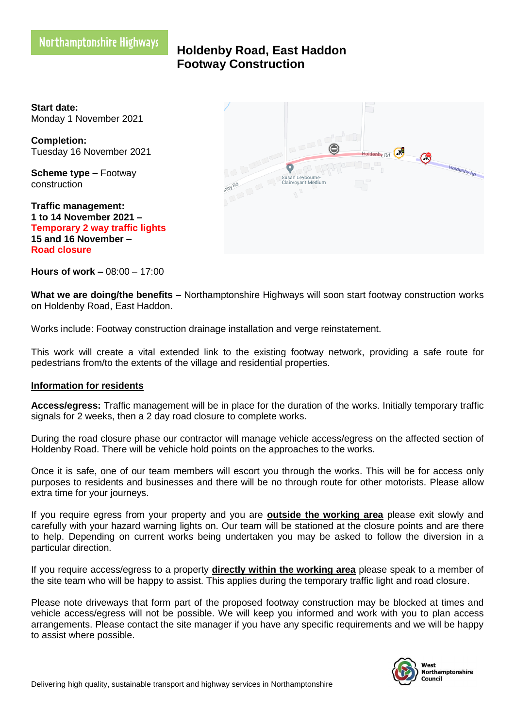**Holdenby Road, East Haddon Footway Construction** 

**Start date:** Monday 1 November 2021

**Completion:** Tuesday 16 November 2021

**Scheme type –** Footway construction

**Traffic management: 1 to 14 November 2021 – Temporary 2 way traffic lights 15 and 16 November – Road closure**



**Hours of work –** 08:00 – 17:00

**What we are doing/the benefits –** Northamptonshire Highways will soon start footway construction works on Holdenby Road, East Haddon.

Works include: Footway construction drainage installation and verge reinstatement.

This work will create a vital extended link to the existing footway network, providing a safe route for pedestrians from/to the extents of the village and residential properties.

## **Information for residents**

**Access/egress:** Traffic management will be in place for the duration of the works. Initially temporary traffic signals for 2 weeks, then a 2 day road closure to complete works.

During the road closure phase our contractor will manage vehicle access/egress on the affected section of Holdenby Road. There will be vehicle hold points on the approaches to the works.

Once it is safe, one of our team members will escort you through the works. This will be for access only purposes to residents and businesses and there will be no through route for other motorists. Please allow extra time for your journeys.

If you require egress from your property and you are **outside the working area** please exit slowly and carefully with your hazard warning lights on. Our team will be stationed at the closure points and are there to help. Depending on current works being undertaken you may be asked to follow the diversion in a particular direction.

If you require access/egress to a property **directly within the working area** please speak to a member of the site team who will be happy to assist. This applies during the temporary traffic light and road closure.

Please note driveways that form part of the proposed footway construction may be blocked at times and vehicle access/egress will not be possible. We will keep you informed and work with you to plan access arrangements. Please contact the site manager if you have any specific requirements and we will be happy to assist where possible.